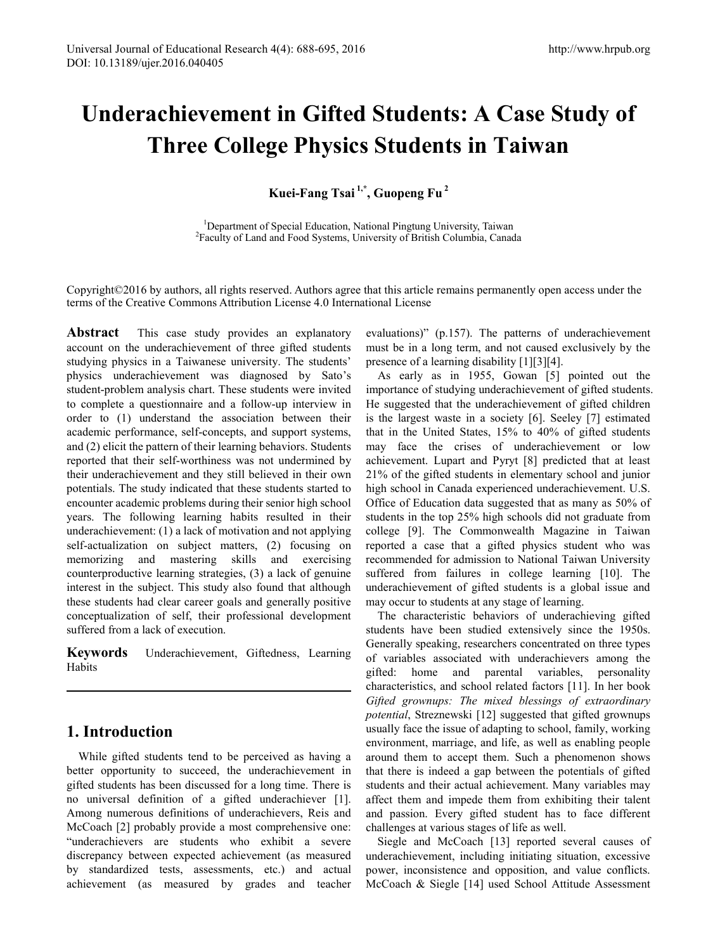# **Underachievement in Gifted Students: A Case Study of Three College Physics Students in Taiwan**

**Kuei-Fang Tsai 1,\*, Guopeng Fu 2**

<sup>1</sup> Department of Special Education, National Pingtung University, Taiwan <sup>2</sup> Equality of Land and Eqod Systems, University of British Columbia, Canad <sup>2</sup>Faculty of Land and Food Systems, University of British Columbia, Canada

Copyright©2016 by authors, all rights reserved. Authors agree that this article remains permanently open access under the terms of the Creative Commons Attribution License 4.0 International License

**Abstract** This case study provides an explanatory account on the underachievement of three gifted students studying physics in a Taiwanese university. The students' physics underachievement was diagnosed by Sato's student-problem analysis chart. These students were invited to complete a questionnaire and a follow-up interview in order to (1) understand the association between their academic performance, self-concepts, and support systems, and (2) elicit the pattern of their learning behaviors. Students reported that their self-worthiness was not undermined by their underachievement and they still believed in their own potentials. The study indicated that these students started to encounter academic problems during their senior high school years. The following learning habits resulted in their underachievement: (1) a lack of motivation and not applying self-actualization on subject matters, (2) focusing on memorizing and mastering skills and exercising counterproductive learning strategies, (3) a lack of genuine interest in the subject. This study also found that although these students had clear career goals and generally positive conceptualization of self, their professional development suffered from a lack of execution.

**Keywords** Underachievement, Giftedness, Learning Habits

# **1. Introduction**

While gifted students tend to be perceived as having a better opportunity to succeed, the underachievement in gifted students has been discussed for a long time. There is no universal definition of a gifted underachiever [1]. Among numerous definitions of underachievers, Reis and McCoach [2] probably provide a most comprehensive one: "underachievers are students who exhibit a severe discrepancy between expected achievement (as measured by standardized tests, assessments, etc.) and actual achievement (as measured by grades and teacher

evaluations)" (p.157). The patterns of underachievement must be in a long term, and not caused exclusively by the presence of a learning disability [1][3][4].

As early as in 1955, Gowan [5] pointed out the importance of studying underachievement of gifted students. He suggested that the underachievement of gifted children is the largest waste in a society [6]. Seeley [7] estimated that in the United States, 15% to 40% of gifted students may face the crises of underachievement or low achievement. Lupart and Pyryt [8] predicted that at least 21% of the gifted students in elementary school and junior high school in Canada experienced underachievement. U.S. Office of Education data suggested that as many as 50% of students in the top 25% high schools did not graduate from college [9]. The Commonwealth Magazine in Taiwan reported a case that a gifted physics student who was recommended for admission to National Taiwan University suffered from failures in college learning [10]. The underachievement of gifted students is a global issue and may occur to students at any stage of learning.

The characteristic behaviors of underachieving gifted students have been studied extensively since the 1950s. Generally speaking, researchers concentrated on three types of variables associated with underachievers among the gifted: home and parental variables, personality characteristics, and school related factors [11]. In her book *Gifted grownups: The mixed blessings of extraordinary potential*, Streznewski [12] suggested that gifted grownups usually face the issue of adapting to school, family, working environment, marriage, and life, as well as enabling people around them to accept them. Such a phenomenon shows that there is indeed a gap between the potentials of gifted students and their actual achievement. Many variables may affect them and impede them from exhibiting their talent and passion. Every gifted student has to face different challenges at various stages of life as well.

Siegle and McCoach [13] reported several causes of underachievement, including initiating situation, excessive power, inconsistence and opposition, and value conflicts. McCoach & Siegle [14] used School Attitude Assessment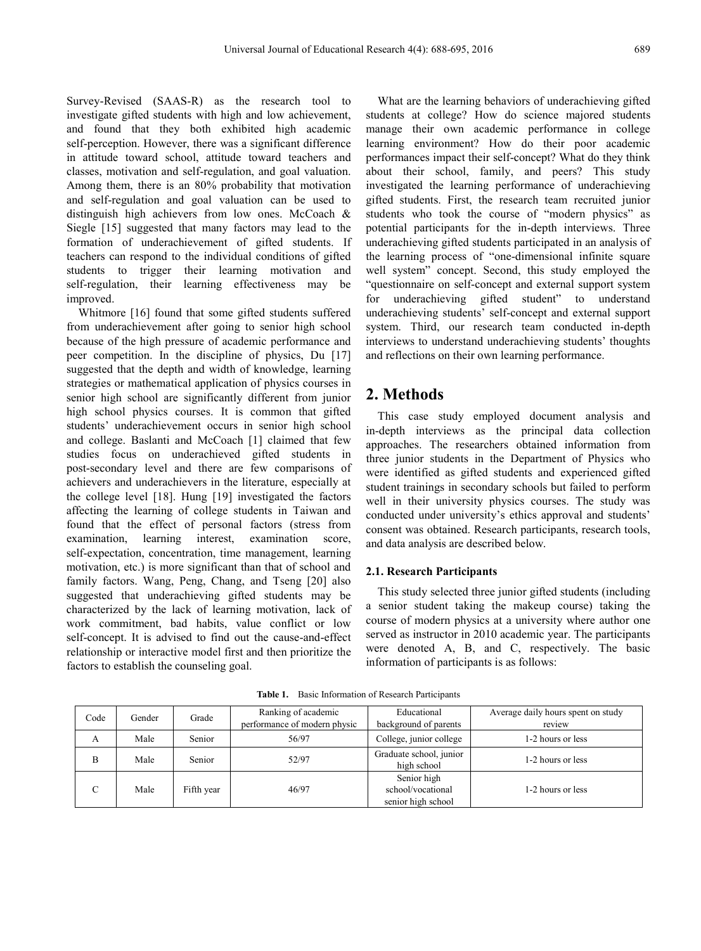Survey-Revised (SAAS-R) as the research tool to investigate gifted students with high and low achievement, and found that they both exhibited high academic self-perception. However, there was a significant difference in attitude toward school, attitude toward teachers and classes, motivation and self-regulation, and goal valuation. Among them, there is an 80% probability that motivation and self-regulation and goal valuation can be used to distinguish high achievers from low ones. McCoach & Siegle [15] suggested that many factors may lead to the formation of underachievement of gifted students. If teachers can respond to the individual conditions of gifted students to trigger their learning motivation and self-regulation, their learning effectiveness may be improved.

Whitmore [16] found that some gifted students suffered from underachievement after going to senior high school because of the high pressure of academic performance and peer competition. In the discipline of physics, Du [17] suggested that the depth and width of knowledge, learning strategies or mathematical application of physics courses in senior high school are significantly different from junior high school physics courses. It is common that gifted students' underachievement occurs in senior high school and college. Baslanti and McCoach [1] claimed that few studies focus on underachieved gifted students in post-secondary level and there are few comparisons of achievers and underachievers in the literature, especially at the college level [18]. Hung [19] investigated the factors affecting the learning of college students in Taiwan and found that the effect of personal factors (stress from examination, learning interest, examination score, self-expectation, concentration, time management, learning motivation, etc.) is more significant than that of school and family factors. Wang, Peng, Chang, and Tseng [20] also suggested that underachieving gifted students may be characterized by the lack of learning motivation, lack of work commitment, bad habits, value conflict or low self-concept. It is advised to find out the cause-and-effect relationship or interactive model first and then prioritize the factors to establish the counseling goal.

What are the learning behaviors of underachieving gifted students at college? How do science majored students manage their own academic performance in college learning environment? How do their poor academic performances impact their self-concept? What do they think about their school, family, and peers? This study investigated the learning performance of underachieving gifted students. First, the research team recruited junior students who took the course of "modern physics" as potential participants for the in-depth interviews. Three underachieving gifted students participated in an analysis of the learning process of "one-dimensional infinite square well system" concept. Second, this study employed the "questionnaire on self-concept and external support system for underachieving gifted student" to understand underachieving students' self-concept and external support system. Third, our research team conducted in-depth interviews to understand underachieving students' thoughts and reflections on their own learning performance.

# **2. Methods**

This case study employed document analysis and in-depth interviews as the principal data collection approaches. The researchers obtained information from three junior students in the Department of Physics who were identified as gifted students and experienced gifted student trainings in secondary schools but failed to perform well in their university physics courses. The study was conducted under university's ethics approval and students' consent was obtained. Research participants, research tools, and data analysis are described below.

## **2.1. Research Participants**

This study selected three junior gifted students (including a senior student taking the makeup course) taking the course of modern physics at a university where author one served as instructor in 2010 academic year. The participants were denoted A, B, and C, respectively. The basic information of participants is as follows:

| Code       | Gender | Grade      | Ranking of academic<br>performance of modern physic | Educational<br>background of parents                   | Average daily hours spent on study<br>review |
|------------|--------|------------|-----------------------------------------------------|--------------------------------------------------------|----------------------------------------------|
| A          | Male   | Senior     | 56/97                                               | College, junior college                                | 1-2 hours or less                            |
| в          | Male   | Senior     | 52/97                                               | Graduate school, junior<br>high school                 | 1-2 hours or less                            |
| $\sqrt{ }$ | Male   | Fifth year | 46/97                                               | Senior high<br>school/vocational<br>senior high school | 1-2 hours or less                            |

**Table 1.** Basic Information of Research Participants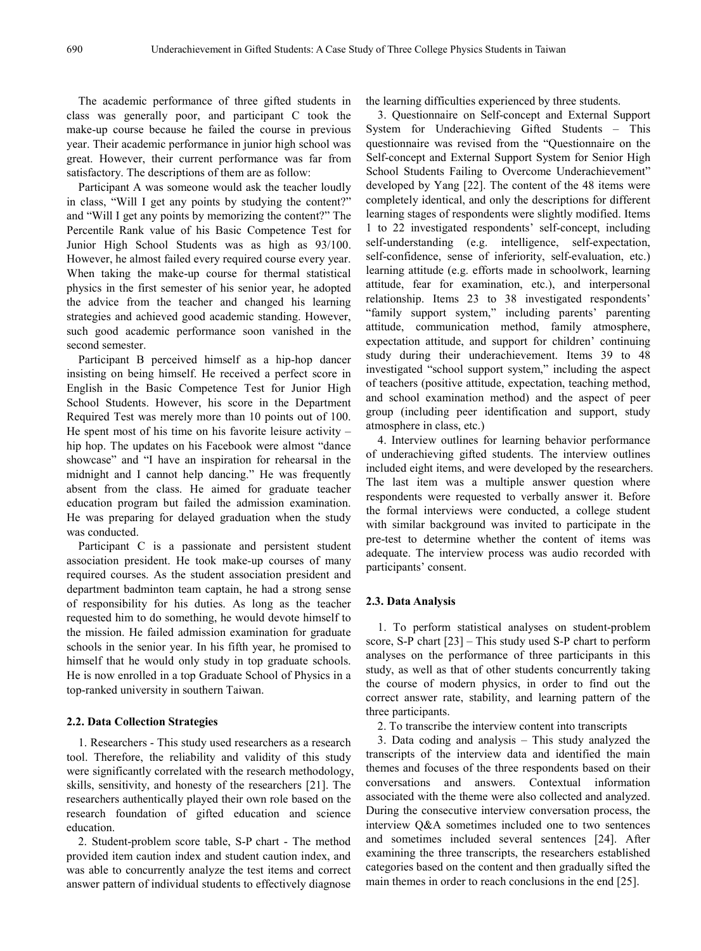The academic performance of three gifted students in class was generally poor, and participant C took the make-up course because he failed the course in previous year. Their academic performance in junior high school was great. However, their current performance was far from satisfactory. The descriptions of them are as follow:

Participant A was someone would ask the teacher loudly in class, "Will I get any points by studying the content?" and "Will I get any points by memorizing the content?" The Percentile Rank value of his Basic Competence Test for Junior High School Students was as high as 93/100. However, he almost failed every required course every year. When taking the make-up course for thermal statistical physics in the first semester of his senior year, he adopted the advice from the teacher and changed his learning strategies and achieved good academic standing. However, such good academic performance soon vanished in the second semester.

Participant B perceived himself as a hip-hop dancer insisting on being himself. He received a perfect score in English in the Basic Competence Test for Junior High School Students. However, his score in the Department Required Test was merely more than 10 points out of 100. He spent most of his time on his favorite leisure activity – hip hop. The updates on his Facebook were almost "dance showcase" and "I have an inspiration for rehearsal in the midnight and I cannot help dancing." He was frequently absent from the class. He aimed for graduate teacher education program but failed the admission examination. He was preparing for delayed graduation when the study was conducted.

Participant C is a passionate and persistent student association president. He took make-up courses of many required courses. As the student association president and department badminton team captain, he had a strong sense of responsibility for his duties. As long as the teacher requested him to do something, he would devote himself to the mission. He failed admission examination for graduate schools in the senior year. In his fifth year, he promised to himself that he would only study in top graduate schools. He is now enrolled in a top Graduate School of Physics in a top-ranked university in southern Taiwan.

#### **2.2. Data Collection Strategies**

1. Researchers - This study used researchers as a research tool. Therefore, the reliability and validity of this study were significantly correlated with the research methodology, skills, sensitivity, and honesty of the researchers [21]. The researchers authentically played their own role based on the research foundation of gifted education and science education.

2. Student-problem score table, S-P chart - The method provided item caution index and student caution index, and was able to concurrently analyze the test items and correct answer pattern of individual students to effectively diagnose

the learning difficulties experienced by three students.

3. Questionnaire on Self-concept and External Support System for Underachieving Gifted Students – This questionnaire was revised from the "Questionnaire on the Self-concept and External Support System for Senior High School Students Failing to Overcome Underachievement" developed by Yang [22]. The content of the 48 items were completely identical, and only the descriptions for different learning stages of respondents were slightly modified. Items 1 to 22 investigated respondents' self-concept, including self-understanding (e.g. intelligence, self-expectation, self-confidence, sense of inferiority, self-evaluation, etc.) learning attitude (e.g. efforts made in schoolwork, learning attitude, fear for examination, etc.), and interpersonal relationship. Items 23 to 38 investigated respondents' "family support system," including parents' parenting attitude, communication method, family atmosphere, expectation attitude, and support for children' continuing study during their underachievement. Items 39 to 48 investigated "school support system," including the aspect of teachers (positive attitude, expectation, teaching method, and school examination method) and the aspect of peer group (including peer identification and support, study atmosphere in class, etc.)

4. Interview outlines for learning behavior performance of underachieving gifted students. The interview outlines included eight items, and were developed by the researchers. The last item was a multiple answer question where respondents were requested to verbally answer it. Before the formal interviews were conducted, a college student with similar background was invited to participate in the pre-test to determine whether the content of items was adequate. The interview process was audio recorded with participants' consent.

#### **2.3. Data Analysis**

1. To perform statistical analyses on student-problem score, S-P chart [23] – This study used S-P chart to perform analyses on the performance of three participants in this study, as well as that of other students concurrently taking the course of modern physics, in order to find out the correct answer rate, stability, and learning pattern of the three participants.

2. To transcribe the interview content into transcripts

3. Data coding and analysis – This study analyzed the transcripts of the interview data and identified the main themes and focuses of the three respondents based on their conversations and answers. Contextual information associated with the theme were also collected and analyzed. During the consecutive interview conversation process, the interview Q&A sometimes included one to two sentences and sometimes included several sentences [24]. After examining the three transcripts, the researchers established categories based on the content and then gradually sifted the main themes in order to reach conclusions in the end [25].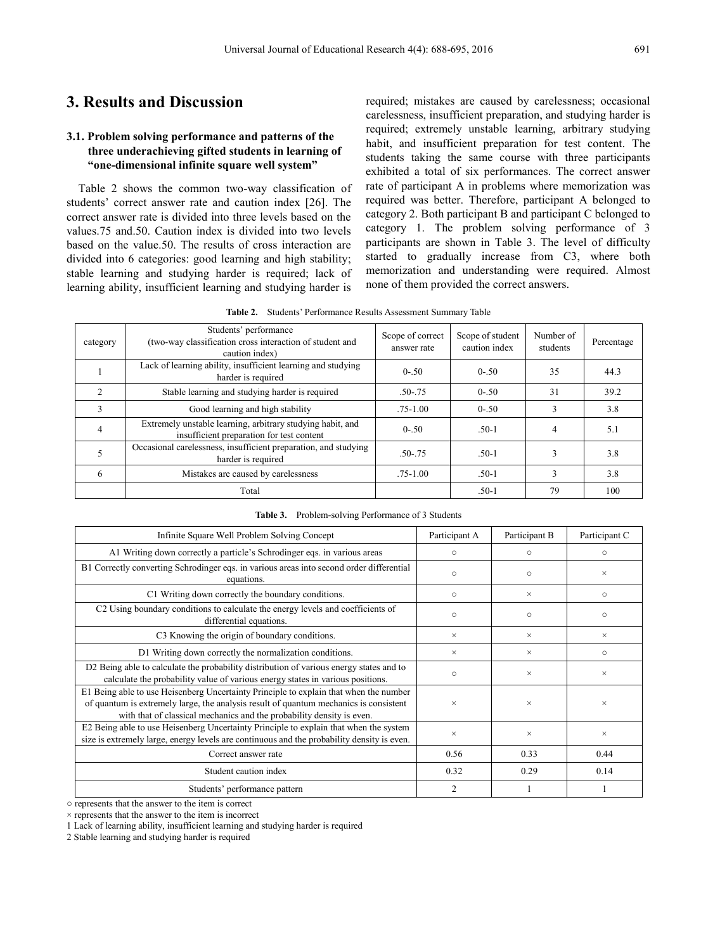# **3. Results and Discussion**

# **3.1. Problem solving performance and patterns of the three underachieving gifted students in learning of "one-dimensional infinite square well system"**

Table 2 shows the common two-way classification of students' correct answer rate and caution index [26]. The correct answer rate is divided into three levels based on the values.75 and.50. Caution index is divided into two levels based on the value.50. The results of cross interaction are divided into 6 categories: good learning and high stability; stable learning and studying harder is required; lack of learning ability, insufficient learning and studying harder is

required; mistakes are caused by carelessness; occasional carelessness, insufficient preparation, and studying harder is required; extremely unstable learning, arbitrary studying habit, and insufficient preparation for test content. The students taking the same course with three participants exhibited a total of six performances. The correct answer rate of participant A in problems where memorization was required was better. Therefore, participant A belonged to category 2. Both participant B and participant C belonged to category 1. The problem solving performance of 3 participants are shown in Table 3. The level of difficulty started to gradually increase from C3, where both memorization and understanding were required. Almost none of them provided the correct answers.

**Table 2.** Students' Performance Results Assessment Summary Table

| category       | Students' performance<br>(two-way classification cross interaction of student and<br>caution index)     | Scope of correct<br>answer rate | Scope of student<br>caution index | Number of<br>students | Percentage |
|----------------|---------------------------------------------------------------------------------------------------------|---------------------------------|-----------------------------------|-----------------------|------------|
|                | Lack of learning ability, insufficient learning and studying<br>harder is required                      | $0 - 50$                        | $0 - 50$                          | 35                    | 44.3       |
| $\mathfrak{D}$ | Stable learning and studying harder is required                                                         | $.50 - .75$                     | $0 - 50$                          | 31                    | 39.2       |
| 3              | Good learning and high stability                                                                        | $.75 - 1.00$                    | $0 - 50$                          |                       | 3.8        |
| $\overline{4}$ | Extremely unstable learning, arbitrary studying habit, and<br>insufficient preparation for test content | $0 - 50$                        | $.50-1$                           | 4                     | 5.1        |
|                | Occasional carelessness, insufficient preparation, and studying<br>harder is required                   | $.50 - .75$                     | $.50-1$                           |                       | 3.8        |
| 6              | Mistakes are caused by carelessness                                                                     | $.75 - 1.00$                    | $.50-1$                           |                       | 3.8        |
|                | Total                                                                                                   |                                 | $.50-1$                           | 79                    | 100        |

| Infinite Square Well Problem Solving Concept                                                                                                                                                                                                            | Participant A | Participant B | Participant C |
|---------------------------------------------------------------------------------------------------------------------------------------------------------------------------------------------------------------------------------------------------------|---------------|---------------|---------------|
| A1 Writing down correctly a particle's Schrodinger eqs. in various areas                                                                                                                                                                                | $\circ$       | $\circ$       | $\circ$       |
| B1 Correctly converting Schrodinger eqs. in various areas into second order differential<br>equations.                                                                                                                                                  | $\circ$       | $\circ$       | $\times$      |
| C1 Writing down correctly the boundary conditions.                                                                                                                                                                                                      | $\circ$       | $\times$      | $\circ$       |
| C2 Using boundary conditions to calculate the energy levels and coefficients of<br>differential equations.                                                                                                                                              | $\circ$       | $\circ$       | $\circ$       |
| C <sub>3</sub> Knowing the origin of boundary conditions.                                                                                                                                                                                               | $\times$      | $\times$      | $\times$      |
| D1 Writing down correctly the normalization conditions.                                                                                                                                                                                                 | $\times$      | $\times$      | $\circ$       |
| D2 Being able to calculate the probability distribution of various energy states and to<br>calculate the probability value of various energy states in various positions.                                                                               | $\circ$       | $\times$      | $\times$      |
| E1 Being able to use Heisenberg Uncertainty Principle to explain that when the number<br>of quantum is extremely large, the analysis result of quantum mechanics is consistent<br>with that of classical mechanics and the probability density is even. | $\times$      | $\times$      | $\times$      |
| E2 Being able to use Heisenberg Uncertainty Principle to explain that when the system<br>size is extremely large, energy levels are continuous and the probability density is even.                                                                     | ×             | $\times$      | $\times$      |
| Correct answer rate                                                                                                                                                                                                                                     | 0.56          | 0.33          | 0.44          |
| Student caution index                                                                                                                                                                                                                                   | 0.32          | 0.29          | 0.14          |
| Students' performance pattern                                                                                                                                                                                                                           | 2             |               |               |

**Table 3.** Problem-solving Performance of 3 Students

○ represents that the answer to the item is correct

 $\times$  represents that the answer to the item is incorrect

1 Lack of learning ability, insufficient learning and studying harder is required

2 Stable learning and studying harder is required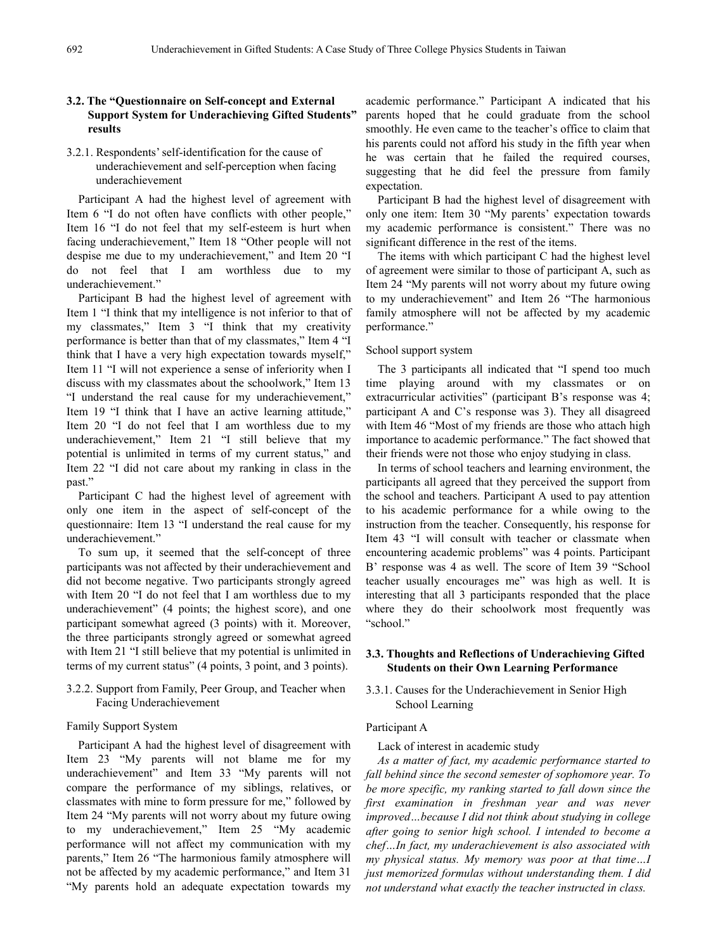# **3.2. The "Questionnaire on Self-concept and External Support System for Underachieving Gifted Students" results**

## 3.2.1. Respondents'self-identification for the cause of underachievement and self-perception when facing underachievement

Participant A had the highest level of agreement with Item 6 "I do not often have conflicts with other people," Item 16 "I do not feel that my self-esteem is hurt when facing underachievement," Item 18 "Other people will not despise me due to my underachievement," and Item 20 "I do not feel that I am worthless due to my underachievement."

Participant B had the highest level of agreement with Item 1 "I think that my intelligence is not inferior to that of my classmates," Item 3 "I think that my creativity performance is better than that of my classmates," Item 4 "I think that I have a very high expectation towards myself," Item 11 "I will not experience a sense of inferiority when I discuss with my classmates about the schoolwork," Item 13 "I understand the real cause for my underachievement," Item 19 "I think that I have an active learning attitude," Item 20 "I do not feel that I am worthless due to my underachievement," Item 21 "I still believe that my potential is unlimited in terms of my current status," and Item 22 "I did not care about my ranking in class in the past."

Participant C had the highest level of agreement with only one item in the aspect of self-concept of the questionnaire: Item 13 "I understand the real cause for my underachievement."

To sum up, it seemed that the self-concept of three participants was not affected by their underachievement and did not become negative. Two participants strongly agreed with Item 20 "I do not feel that I am worthless due to my underachievement" (4 points; the highest score), and one participant somewhat agreed (3 points) with it. Moreover, the three participants strongly agreed or somewhat agreed with Item 21 "I still believe that my potential is unlimited in terms of my current status" (4 points, 3 point, and 3 points).

3.2.2. Support from Family, Peer Group, and Teacher when Facing Underachievement

#### Family Support System

Participant A had the highest level of disagreement with Item 23 "My parents will not blame me for my underachievement" and Item 33 "My parents will not compare the performance of my siblings, relatives, or classmates with mine to form pressure for me," followed by Item 24 "My parents will not worry about my future owing to my underachievement," Item 25 "My academic performance will not affect my communication with my parents," Item 26 "The harmonious family atmosphere will not be affected by my academic performance," and Item 31 "My parents hold an adequate expectation towards my

academic performance." Participant A indicated that his parents hoped that he could graduate from the school smoothly. He even came to the teacher's office to claim that his parents could not afford his study in the fifth year when he was certain that he failed the required courses, suggesting that he did feel the pressure from family expectation.

Participant B had the highest level of disagreement with only one item: Item 30 "My parents' expectation towards my academic performance is consistent." There was no significant difference in the rest of the items.

The items with which participant C had the highest level of agreement were similar to those of participant A, such as Item 24 "My parents will not worry about my future owing to my underachievement" and Item 26 "The harmonious family atmosphere will not be affected by my academic performance."

#### School support system

The 3 participants all indicated that "I spend too much time playing around with my classmates or on extracurricular activities" (participant B's response was 4; participant A and C's response was 3). They all disagreed with Item 46 "Most of my friends are those who attach high importance to academic performance." The fact showed that their friends were not those who enjoy studying in class.

In terms of school teachers and learning environment, the participants all agreed that they perceived the support from the school and teachers. Participant A used to pay attention to his academic performance for a while owing to the instruction from the teacher. Consequently, his response for Item 43 "I will consult with teacher or classmate when encountering academic problems" was 4 points. Participant B' response was 4 as well. The score of Item 39 "School teacher usually encourages me" was high as well. It is interesting that all 3 participants responded that the place where they do their schoolwork most frequently was "school."

## **3.3. Thoughts and Reflections of Underachieving Gifted Students on their Own Learning Performance**

## 3.3.1. Causes for the Underachievement in Senior High School Learning

#### Participant A

Lack of interest in academic study

*As a matter of fact, my academic performance started to fall behind since the second semester of sophomore year. To be more specific, my ranking started to fall down since the first examination in freshman year and was never improved…because I did not think about studying in college after going to senior high school. I intended to become a chef…In fact, my underachievement is also associated with my physical status. My memory was poor at that time…I just memorized formulas without understanding them. I did not understand what exactly the teacher instructed in class.*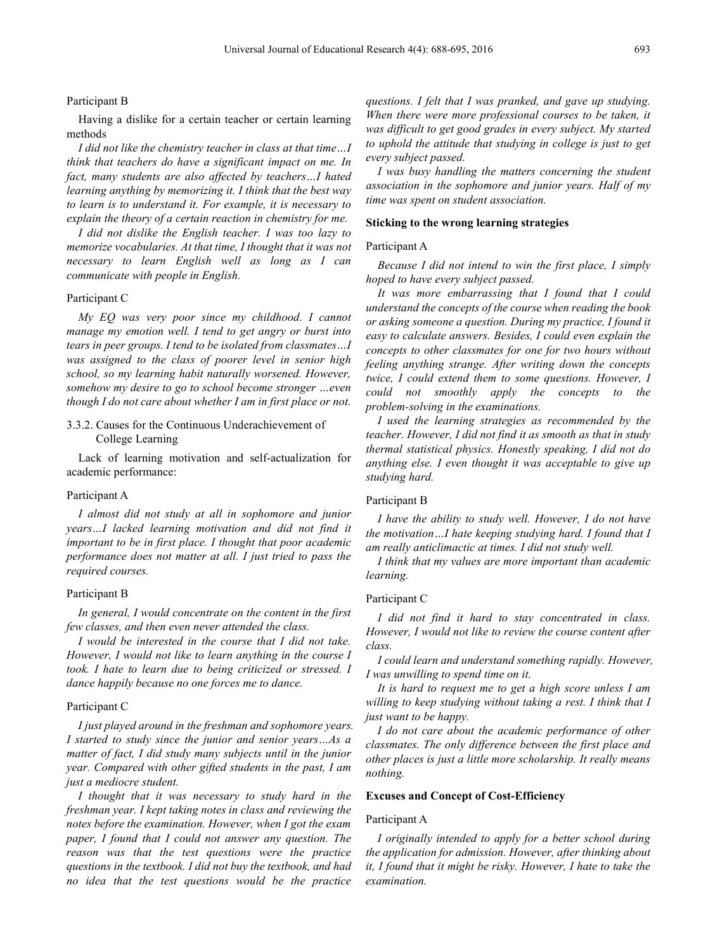#### Participant B

Having a dislike for a certain teacher or certain learning methods

*I did not like the chemistry teacher in class at that time…I think that teachers do have a significant impact on me. In fact, many students are also affected by teachers…I hated learning anything by memorizing it. I think that the best way to learn is to understand it. For example, it is necessary to explain the theory of a certain reaction in chemistry for me.*

*I did not dislike the English teacher. I was too lazy to memorize vocabularies. At that time, I thought that it was not necessary to learn English well as long as I can communicate with people in English.*

#### Participant C

*My EQ was very poor since my childhood. I cannot manage my emotion well. I tend to get angry or burst into tears in peer groups. I tend to be isolated from classmates…I was assigned to the class of poorer level in senior high school, so my learning habit naturally worsened. However, somehow my desire to go to school become stronger …even though I do not care about whether I am in first place or not.*

## 3.3.2. Causes for the Continuous Underachievement of College Learning

Lack of learning motivation and self-actualization for academic performance:

#### Participant A

*I almost did not study at all in sophomore and junior years…I lacked learning motivation and did not find it important to be in first place. I thought that poor academic performance does not matter at all. I just tried to pass the required courses.*

#### Participant B

*In general, I would concentrate on the content in the first few classes, and then even never attended the class.*

*I would be interested in the course that I did not take. However, I would not like to learn anything in the course I took. I hate to learn due to being criticized or stressed. I dance happily because no one forces me to dance.*

#### Participant C

*I just played around in the freshman and sophomore years. I started to study since the junior and senior years…As a matter of fact, I did study many subjects until in the junior year. Compared with other gifted students in the past, I am just a mediocre student.*

*I thought that it was necessary to study hard in the freshman year. I kept taking notes in class and reviewing the notes before the examination. However, when I got the exam paper, I found that I could not answer any question. The reason was that the test questions were the practice questions in the textbook. I did not buy the textbook, and had no idea that the test questions would be the practice*

*questions. I felt that I was pranked, and gave up studying. When there were more professional courses to be taken, it was difficult to get good grades in every subject. My started to uphold the attitude that studying in college is just to get every subject passed.*

*I was busy handling the matters concerning the student association in the sophomore and junior years. Half of my time was spent on student association.*

#### **Sticking to the wrong learning strategies**

#### Participant A

*Because I did not intend to win the first place, I simply hoped to have every subject passed.*

*It was more embarrassing that I found that I could understand the concepts of the course when reading the book or asking someone a question. During my practice, I found it easy to calculate answers. Besides, I could even explain the concepts to other classmates for one for two hours without feeling anything strange. After writing down the concepts twice, I could extend them to some questions. However, I could not smoothly apply the concepts to the problem-solving in the examinations.*

*I used the learning strategies as recommended by the teacher. However, I did not find it as smooth as that in study thermal statistical physics. Honestly speaking, I did not do anything else. I even thought it was acceptable to give up studying hard.*

#### Participant B

*I have the ability to study well. However, I do not have the motivation…I hate keeping studying hard. I found that I am really anticlimactic at times. I did not study well.*

*I think that my values are more important than academic learning.*

#### Participant C

*I did not find it hard to stay concentrated in class. However, I would not like to review the course content after class.*

*I could learn and understand something rapidly. However, I was unwilling to spend time on it.*

*It is hard to request me to get a high score unless I am willing to keep studying without taking a rest. I think that I just want to be happy.*

*I do not care about the academic performance of other classmates. The only difference between the first place and other places is just a little more scholarship. It really means nothing.*

#### **Excuses and Concept of Cost-Efficiency**

#### Participant A

*I originally intended to apply for a better school during the application for admission. However, after thinking about it, I found that it might be risky. However, I hate to take the examination.*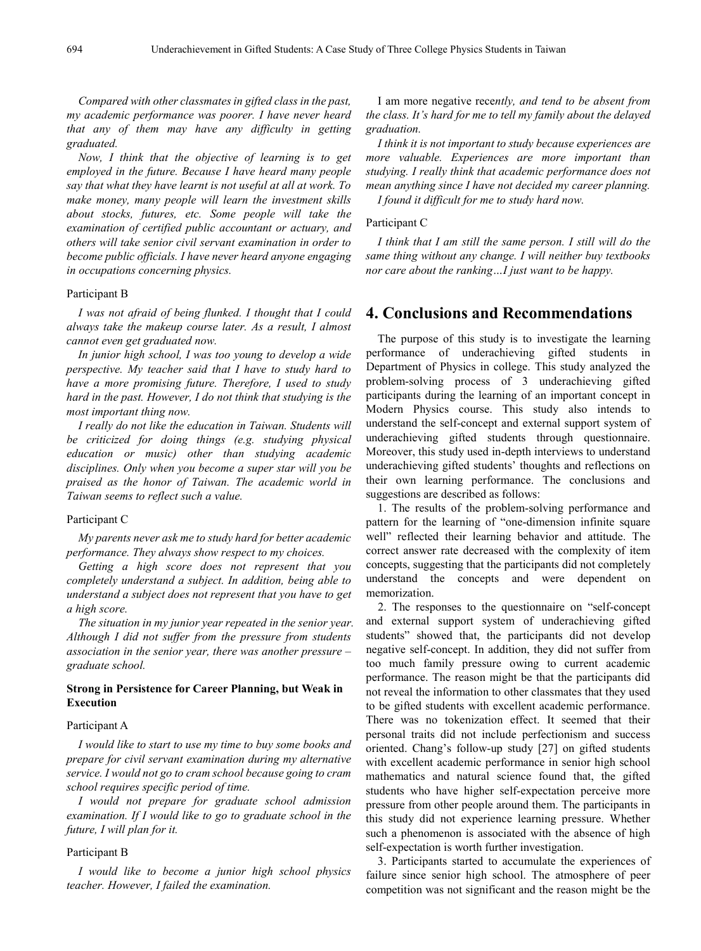*Compared with other classmates in gifted class in the past, my academic performance was poorer. I have never heard that any of them may have any difficulty in getting graduated.*

*Now, I think that the objective of learning is to get employed in the future. Because I have heard many people say that what they have learnt is not useful at all at work. To make money, many people will learn the investment skills about stocks, futures, etc. Some people will take the examination of certified public accountant or actuary, and others will take senior civil servant examination in order to become public officials. I have never heard anyone engaging in occupations concerning physics.*

#### Participant B

*I was not afraid of being flunked. I thought that I could always take the makeup course later. As a result, I almost cannot even get graduated now.*

*In junior high school, I was too young to develop a wide perspective. My teacher said that I have to study hard to have a more promising future. Therefore, I used to study hard in the past. However, I do not think that studying is the most important thing now.*

*I really do not like the education in Taiwan. Students will be criticized for doing things (e.g. studying physical education or music) other than studying academic disciplines. Only when you become a super star will you be praised as the honor of Taiwan. The academic world in Taiwan seems to reflect such a value.*

#### Participant C

*My parents never ask me to study hard for better academic performance. They always show respect to my choices.*

*Getting a high score does not represent that you completely understand a subject. In addition, being able to understand a subject does not represent that you have to get a high score.*

*The situation in my junior year repeated in the senior year. Although I did not suffer from the pressure from students association in the senior year, there was another pressure – graduate school.*

## **Strong in Persistence for Career Planning, but Weak in Execution**

#### Participant A

*I would like to start to use my time to buy some books and prepare for civil servant examination during my alternative service. I would not go to cram school because going to cram school requires specific period of time.*

*I would not prepare for graduate school admission examination. If I would like to go to graduate school in the future, I will plan for it.*

#### Participant B

*I would like to become a junior high school physics teacher. However, I failed the examination.*

I am more negative rece*ntly, and tend to be absent from the class. It's hard for me to tell my family about the delayed graduation.*

*I think it is not important to study because experiences are more valuable. Experiences are more important than studying. I really think that academic performance does not mean anything since I have not decided my career planning.*

*I found it difficult for me to study hard now.*

#### Participant C

*I think that I am still the same person. I still will do the same thing without any change. I will neither buy textbooks nor care about the ranking…I just want to be happy.*

# **4. Conclusions and Recommendations**

The purpose of this study is to investigate the learning performance of underachieving gifted students in Department of Physics in college. This study analyzed the problem-solving process of 3 underachieving gifted participants during the learning of an important concept in Modern Physics course. This study also intends to understand the self-concept and external support system of underachieving gifted students through questionnaire. Moreover, this study used in-depth interviews to understand underachieving gifted students' thoughts and reflections on their own learning performance. The conclusions and suggestions are described as follows:

1. The results of the problem-solving performance and pattern for the learning of "one-dimension infinite square well" reflected their learning behavior and attitude. The correct answer rate decreased with the complexity of item concepts, suggesting that the participants did not completely understand the concepts and were dependent on memorization.

2. The responses to the questionnaire on "self-concept and external support system of underachieving gifted students" showed that, the participants did not develop negative self-concept. In addition, they did not suffer from too much family pressure owing to current academic performance. The reason might be that the participants did not reveal the information to other classmates that they used to be gifted students with excellent academic performance. There was no tokenization effect. It seemed that their personal traits did not include perfectionism and success oriented. Chang's follow-up study [27] on gifted students with excellent academic performance in senior high school mathematics and natural science found that, the gifted students who have higher self-expectation perceive more pressure from other people around them. The participants in this study did not experience learning pressure. Whether such a phenomenon is associated with the absence of high self-expectation is worth further investigation.

3. Participants started to accumulate the experiences of failure since senior high school. The atmosphere of peer competition was not significant and the reason might be the